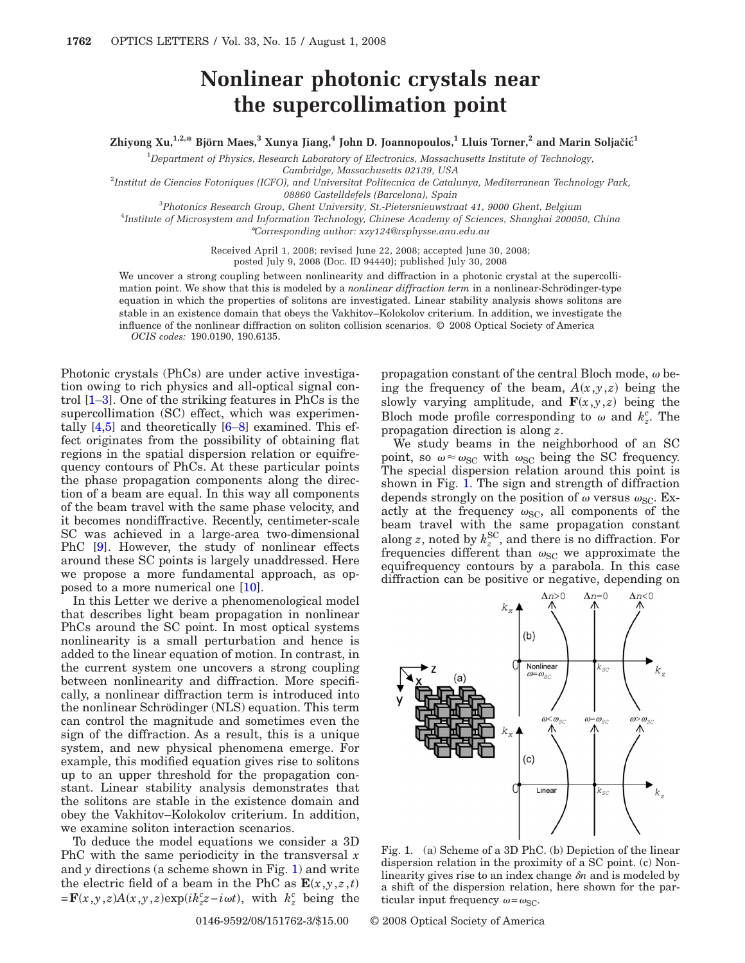## **Nonlinear photonic crystals near the supercollimation point**

## $\lambda$ **Zhiyong Xu,**<sup>1,2,\*</sup> **Björn Maes,**<sup>3</sup> **Xunya Jiang,**<sup>4</sup> John D. Joannopoulos,<sup>1</sup> Lluis Torner,<sup>2</sup> and Marin Soljačić<sup>1</sup>

1 *Department of Physics, Research Laboratory of Electronics, Massachusetts Institute of Technology,*

*Cambridge, Massachusetts 02139, USA*

2 *Institut de Ciencies Fotoniques (ICFO), and Universitat Politecnica de Catalunya, Mediterranean Technology Park, 08860 Castelldefels (Barcelona), Spain*

3 *Photonics Research Group, Ghent University, St.-Pietersnieuwstraat 41, 9000 Ghent, Belgium*

4 *Institute of Microsystem and Information Technology, Chinese Academy of Sciences, Shanghai 200050, China* \**Corresponding author: xzy124@rsphysse.anu.edu.au*

Received April 1, 2008; revised June 22, 2008; accepted June 30, 2008;

posted July 9, 2008 (Doc. ID 94440); published July 30, 2008

We uncover a strong coupling between nonlinearity and diffraction in a photonic crystal at the supercollimation point. We show that this is modeled by a *nonlinear diffraction term* in a nonlinear-Schrödinger-type equation in which the properties of solitons are investigated. Linear stability analysis shows solitons are stable in an existence domain that obeys the Vakhitov–Kolokolov criterium. In addition, we investigate the influence of the nonlinear diffraction on soliton collision scenarios. © 2008 Optical Society of America *OCIS codes:* 190.0190, 190.6135.

Photonic crystals (PhCs) are under active investigation owing to rich physics and all-optical signal control [\[1](#page-2-0)[–3\]](#page-2-1). One of the striking features in PhCs is the supercollimation (SC) effect, which was experimentally [\[4](#page-2-2)[,5\]](#page-2-3) and theoretically [\[6](#page-2-4)[–8\]](#page-2-5) examined. This effect originates from the possibility of obtaining flat regions in the spatial dispersion relation or equifrequency contours of PhCs. At these particular points the phase propagation components along the direction of a beam are equal. In this way all components of the beam travel with the same phase velocity, and it becomes nondiffractive. Recently, centimeter-scale SC was achieved in a large-area two-dimensional PhC [\[9\]](#page-2-6). However, the study of nonlinear effects around these SC points is largely unaddressed. Here we propose a more fundamental approach, as opposed to a more numerical one [\[10\]](#page-2-7).

In this Letter we derive a phenomenological model that describes light beam propagation in nonlinear PhCs around the SC point. In most optical systems nonlinearity is a small perturbation and hence is added to the linear equation of motion. In contrast, in the current system one uncovers a strong coupling between nonlinearity and diffraction. More specifically, a nonlinear diffraction term is introduced into the nonlinear Schrödinger (NLS) equation. This term can control the magnitude and sometimes even the sign of the diffraction. As a result, this is a unique system, and new physical phenomena emerge. For example, this modified equation gives rise to solitons up to an upper threshold for the propagation constant. Linear stability analysis demonstrates that the solitons are stable in the existence domain and obey the Vakhitov–Kolokolov criterium. In addition, we examine soliton interaction scenarios.

To deduce the model equations we consider a 3D PhC with the same periodicity in the transversal *x* and  $\gamma$  directions (a scheme shown in Fig. [1\)](#page-0-0) and write the electric field of a beam in the PhC as  $\mathbf{E}(x, y, z, t)$  $=$ **F** $(x, y, z)$ A $(x, y, z)$ exp $(ik_z^c z - i\omega t)$ , with  $k_z^c$  being the

propagation constant of the central Bloch mode,  $\omega$  being the frequency of the beam,  $A(x,y,z)$  being the slowly varying amplitude, and  $\mathbf{F}(x,y,z)$  being the Bloch mode profile corresponding to  $\omega$  and  $k_z^c$ . The propagation direction is along *z*.

We study beams in the neighborhood of an SC point, so  $\omega \approx \omega_{SC}$  with  $\omega_{SC}$  being the SC frequency. The special dispersion relation around this point is shown in Fig. [1.](#page-0-0) The sign and strength of diffraction depends strongly on the position of  $\omega$  versus  $\omega_{SC}$ . Exactly at the frequency  $\omega_{SC}$ , all components of the beam travel with the same propagation constant along *z*, noted by  $k_z^{\text{SC}}$ , and there is no diffraction. For frequencies different than  $\omega_{SC}$  we approximate the equifrequency contours by a parabola. In this case diffraction can be positive or negative, depending on

<span id="page-0-0"></span>

Fig. 1. (a) Scheme of a 3D PhC. (b) Depiction of the linear dispersion relation in the proximity of a SC point. (c) Nonlinearity gives rise to an index change  $\delta n$  and is modeled by a shift of the dispersion relation, here shown for the particular input frequency  $\omega = \omega_{\text{SC}}$ .

0146-9592/08/151762-3/\$15.00 © 2008 Optical Society of America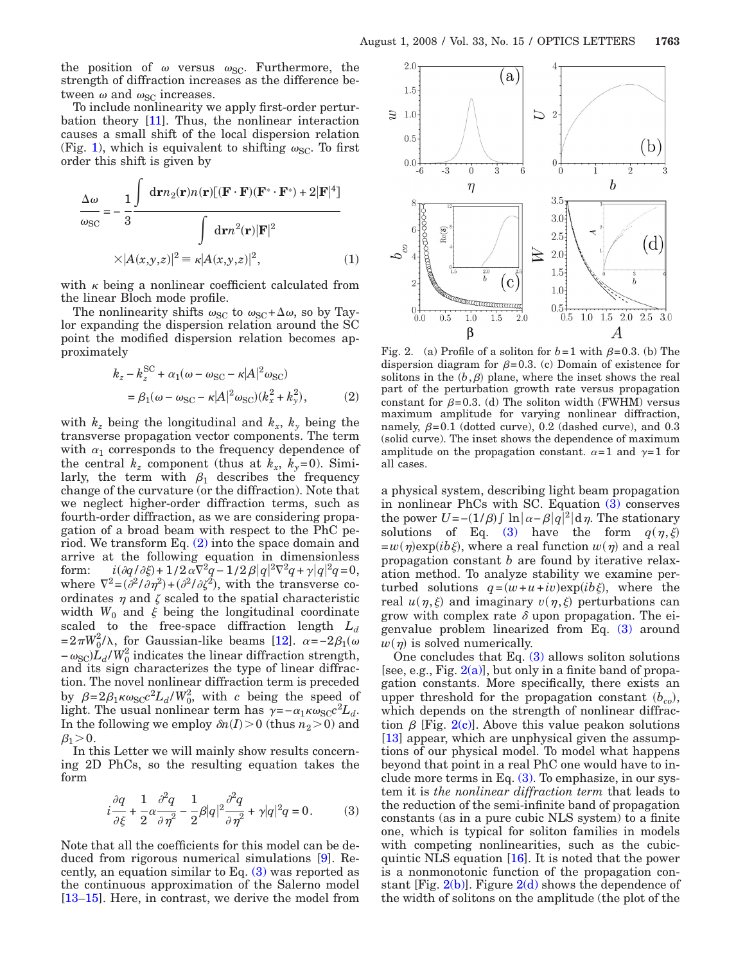the position of  $\omega$  versus  $\omega_{SC}$ . Furthermore, the strength of diffraction increases as the difference between  $\omega$  and  $\omega_{\text{SC}}$  increases.

To include nonlinearity we apply first-order perturbation theory [\[11\]](#page-2-8). Thus, the nonlinear interaction causes a small shift of the local dispersion relation (Fig. [1\)](#page-0-0), which is equivalent to shifting  $\omega_{SC}$ . To first order this shift is given by

$$
\frac{\Delta \omega}{\omega_{\rm SC}} = -\frac{1}{3} \frac{\int d\mathbf{r} n_2(\mathbf{r}) n(\mathbf{r}) [(\mathbf{F} \cdot \mathbf{F})(\mathbf{F}^* \cdot \mathbf{F}^*) + 2 |\mathbf{F}|^4]}{\int d\mathbf{r} n^2(\mathbf{r}) |\mathbf{F}|^2}
$$

$$
\times |A(x, y, z)|^2 \equiv \kappa |A(x, y, z)|^2, \tag{1}
$$

with  $\kappa$  being a nonlinear coefficient calculated from the linear Bloch mode profile.

<span id="page-1-0"></span>The nonlinearity shifts  $\omega_{SC}$  to  $\omega_{SC} + \Delta \omega$ , so by Taylor expanding the dispersion relation around the SC point the modified dispersion relation becomes approximately

$$
k_z - k_z^{\text{SC}} + \alpha_1(\omega - \omega_{\text{SC}} - \kappa |A|^2 \omega_{\text{SC}})
$$
  
=  $\beta_1(\omega - \omega_{\text{SC}} - \kappa |A|^2 \omega_{\text{SC}})(k_x^2 + k_y^2)$ , (2)

with  $k_z$  being the longitudinal and  $k_x$ ,  $k_y$  being the transverse propagation vector components. The term with  $\alpha_1$  corresponds to the frequency dependence of the central  $k_z$  component (thus at  $k_x$ ,  $k_y=0$ ). Similarly, the term with  $\beta_1$  describes the frequency change of the curvature (or the diffraction). Note that we neglect higher-order diffraction terms, such as fourth-order diffraction, as we are considering propagation of a broad beam with respect to the PhC period. We transform Eq. [\(2\)](#page-1-0) into the space domain and arrive at the following equation in dimensionless form:  $i(\partial q / \partial \xi) + 1/2 \alpha \nabla^2 q - 1/2 \beta |q|^2 \nabla^2 q + \gamma |q|^2 q = 0,$ where  $\nabla^2 = (\partial^2/\partial \eta^2) + (\partial^2/\partial \zeta^2)$ , with the transverse coordinates  $\eta$  and  $\zeta$  scaled to the spatial characteristic width  $W_0$  and  $\xi$  being the longitudinal coordinate scaled to the free-space diffraction length *Ld*  $=2\pi W_0^2/\lambda$ , for Gaussian-like beams [\[12\]](#page-2-9).  $\alpha =-2\beta_1(\omega)$  $-\omega_{\rm SC} L_d/W_0^2$  indicates the linear diffraction strength, and its sign characterizes the type of linear diffraction. The novel nonlinear diffraction term is preceded by  $\beta = 2\beta_1 \kappa \omega_{\rm SC} c^2 L_d/W_0^2$ , with *c* being the speed of light. The usual nonlinear term has  $\gamma = -\alpha_1 \kappa \omega_{SC} c^2 L_d$ . In the following we employ  $\delta n(I) > 0$  (thus  $n_2 > 0$ ) and  $\beta_1 > 0$ .

<span id="page-1-1"></span>In this Letter we will mainly show results concerning 2D PhCs, so the resulting equation takes the form

$$
i\frac{\partial q}{\partial \xi} + \frac{1}{2}\alpha \frac{\partial^2 q}{\partial \eta^2} - \frac{1}{2}\beta|q|^2 \frac{\partial^2 q}{\partial \eta^2} + \gamma|q|^2 q = 0.
$$
 (3)

Note that all the coefficients for this model can be deduced from rigorous numerical simulations [\[9\]](#page-2-6). Recently, an equation similar to Eq. [\(3\)](#page-1-1) was reported as the continuous approximation of the Salerno model [\[13](#page-2-10)[–15\]](#page-2-11). Here, in contrast, we derive the model from

<span id="page-1-2"></span>

Fig. 2. (a) Profile of a soliton for  $b=1$  with  $\beta=0.3$ . (b) The dispersion diagram for  $\beta$ =0.3. (c) Domain of existence for solitons in the  $(b, \beta)$  plane, where the inset shows the real part of the perturbation growth rate versus propagation constant for  $\beta$ =0.3. (d) The soliton width (FWHM) versus maximum amplitude for varying nonlinear diffraction, namely,  $\beta = 0.1$  (dotted curve), 0.2 (dashed curve), and 0.3 (solid curve). The inset shows the dependence of maximum amplitude on the propagation constant.  $\alpha=1$  and  $\gamma=1$  for all cases.

a physical system, describing light beam propagation in nonlinear PhCs with SC. Equation [\(3\)](#page-1-1) conserves the power  $U = -(1/\beta) \int \ln |\alpha - \beta| q^2 | d\eta$ . The stationary solutions of Eq. [\(3\)](#page-1-1) have the form  $q(\eta, \xi)$  $=w(\eta) \exp(i b \xi)$ , where a real function  $w(\eta)$  and a real propagation constant *b* are found by iterative relaxation method. To analyze stability we examine perturbed solutions  $q = (w + u + iv) \exp(i b \xi)$ , where the real  $u(\eta, \xi)$  and imaginary  $v(\eta, \xi)$  perturbations can grow with complex rate  $\delta$  upon propagation. The eigenvalue problem linearized from Eq. [\(3\)](#page-1-1) around  $w(\eta)$  is solved numerically.

One concludes that Eq.  $(3)$  allows soliton solutions [see, e.g., Fig.  $2(a)$ ], but only in a finite band of propagation constants. More specifically, there exists an upper threshold for the propagation constant  $(b_{co})$ , which depends on the strength of nonlinear diffraction  $\beta$  [Fig. [2\(c\)\]](#page-1-2). Above this value peakon solutions [\[13\]](#page-2-10) appear, which are unphysical given the assumptions of our physical model. To model what happens beyond that point in a real PhC one would have to include more terms in Eq.  $(3)$ . To emphasize, in our system it is *the nonlinear diffraction term* that leads to the reduction of the semi-infinite band of propagation constants (as in a pure cubic NLS system) to a finite one, which is typical for soliton families in models with competing nonlinearities, such as the cubicquintic NLS equation [\[16\]](#page-2-12). It is noted that the power is a nonmonotonic function of the propagation constant [Fig.  $2(b)$ ]. Figure  $2(d)$  shows the dependence of the width of solitons on the amplitude (the plot of the